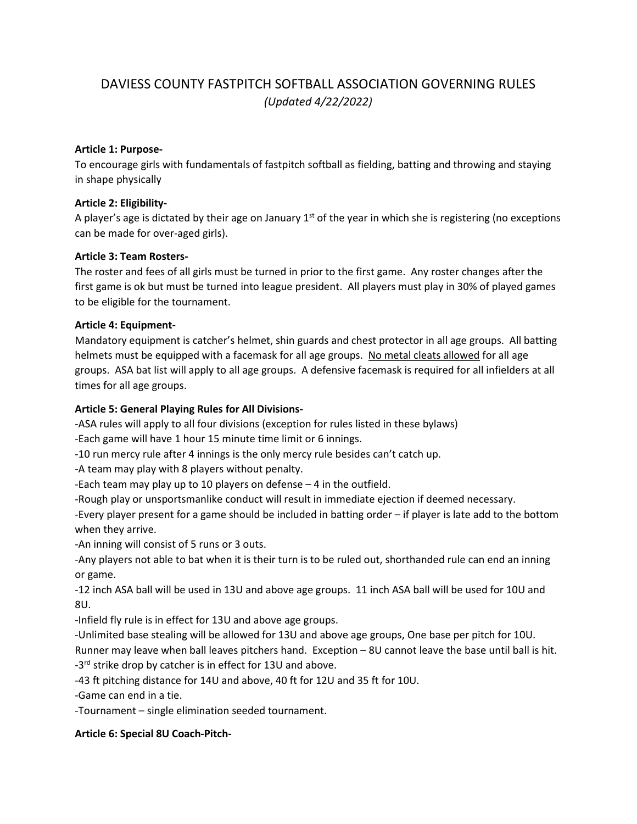# DAVIESS COUNTY FASTPITCH SOFTBALL ASSOCIATION GOVERNING RULES *(Updated 4/22/2022)*

#### **Article 1: Purpose-**

To encourage girls with fundamentals of fastpitch softball as fielding, batting and throwing and staying in shape physically

### **Article 2: Eligibility-**

A player's age is dictated by their age on January  $1<sup>st</sup>$  of the year in which she is registering (no exceptions can be made for over-aged girls).

#### **Article 3: Team Rosters-**

The roster and fees of all girls must be turned in prior to the first game. Any roster changes after the first game is ok but must be turned into league president. All players must play in 30% of played games to be eligible for the tournament.

#### **Article 4: Equipment-**

Mandatory equipment is catcher's helmet, shin guards and chest protector in all age groups. All batting helmets must be equipped with a facemask for all age groups. No metal cleats allowed for all age groups. ASA bat list will apply to all age groups. A defensive facemask is required for all infielders at all times for all age groups.

#### **Article 5: General Playing Rules for All Divisions-**

-ASA rules will apply to all four divisions (exception for rules listed in these bylaws)

-Each game will have 1 hour 15 minute time limit or 6 innings.

-10 run mercy rule after 4 innings is the only mercy rule besides can't catch up.

-A team may play with 8 players without penalty.

-Each team may play up to 10 players on defense – 4 in the outfield.

-Rough play or unsportsmanlike conduct will result in immediate ejection if deemed necessary.

-Every player present for a game should be included in batting order – if player is late add to the bottom when they arrive.

-An inning will consist of 5 runs or 3 outs.

-Any players not able to bat when it is their turn is to be ruled out, shorthanded rule can end an inning or game.

-12 inch ASA ball will be used in 13U and above age groups. 11 inch ASA ball will be used for 10U and 8U.

-Infield fly rule is in effect for 13U and above age groups.

-Unlimited base stealing will be allowed for 13U and above age groups, One base per pitch for 10U.

Runner may leave when ball leaves pitchers hand. Exception – 8U cannot leave the base until ball is hit. -3<sup>rd</sup> strike drop by catcher is in effect for 13U and above.

-43 ft pitching distance for 14U and above, 40 ft for 12U and 35 ft for 10U.

-Game can end in a tie.

-Tournament – single elimination seeded tournament.

#### **Article 6: Special 8U Coach-Pitch-**